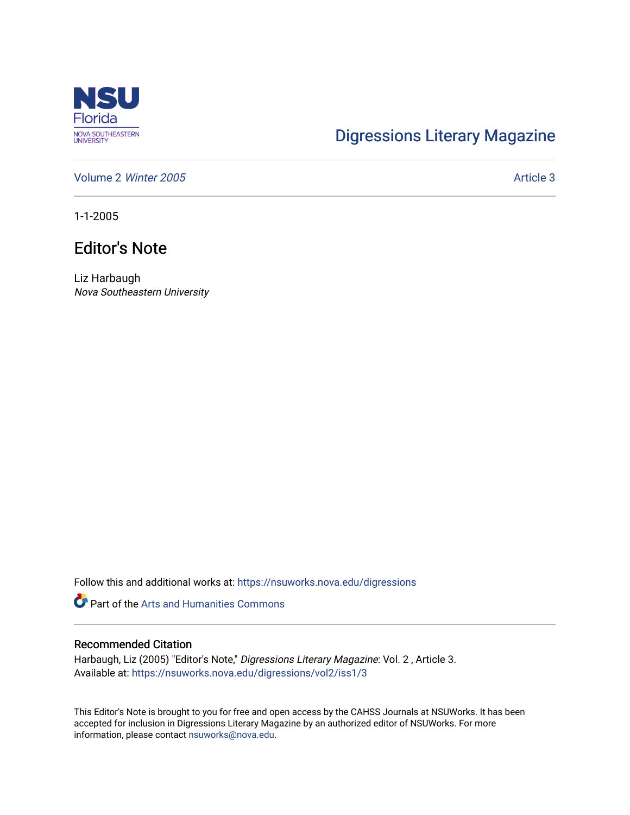

## [Digressions Literary Magazine](https://nsuworks.nova.edu/digressions)

[Volume 2](https://nsuworks.nova.edu/digressions/vol2) Winter 2005 Article 3

1-1-2005

## Editor's Note

Liz Harbaugh Nova Southeastern University

Follow this and additional works at: [https://nsuworks.nova.edu/digressions](https://nsuworks.nova.edu/digressions?utm_source=nsuworks.nova.edu%2Fdigressions%2Fvol2%2Fiss1%2F3&utm_medium=PDF&utm_campaign=PDFCoverPages) 

Part of the [Arts and Humanities Commons](http://network.bepress.com/hgg/discipline/438?utm_source=nsuworks.nova.edu%2Fdigressions%2Fvol2%2Fiss1%2F3&utm_medium=PDF&utm_campaign=PDFCoverPages) 

## Recommended Citation

Harbaugh, Liz (2005) "Editor's Note," Digressions Literary Magazine: Vol. 2 , Article 3. Available at: [https://nsuworks.nova.edu/digressions/vol2/iss1/3](https://nsuworks.nova.edu/digressions/vol2/iss1/3?utm_source=nsuworks.nova.edu%2Fdigressions%2Fvol2%2Fiss1%2F3&utm_medium=PDF&utm_campaign=PDFCoverPages) 

This Editor's Note is brought to you for free and open access by the CAHSS Journals at NSUWorks. It has been accepted for inclusion in Digressions Literary Magazine by an authorized editor of NSUWorks. For more information, please contact [nsuworks@nova.edu.](mailto:nsuworks@nova.edu)